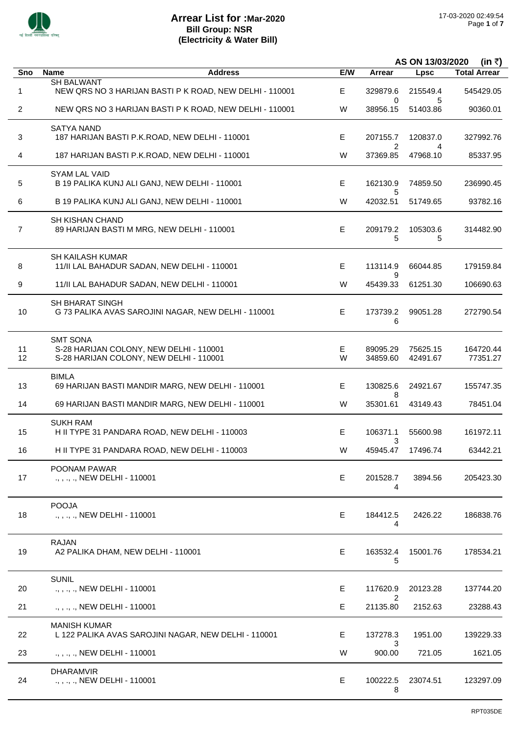

 $\overline{a}$ 

 $\overline{a}$ 

 $\overline{a}$ 

i.

l,

l,

|                |                                                                                                       |        | AS ON 13/03/2020<br>(in ₹) |                      |                       |
|----------------|-------------------------------------------------------------------------------------------------------|--------|----------------------------|----------------------|-----------------------|
| Sno            | <b>Name</b><br><b>Address</b>                                                                         | E/W    | <b>Arrear</b>              | <b>Lpsc</b>          | <b>Total Arrear</b>   |
| 1              | <b>SH BALWANT</b><br>NEW QRS NO 3 HARIJAN BASTI P K ROAD, NEW DELHI - 110001                          | Е      | 329879.6                   | 215549.4             | 545429.05             |
| $\overline{2}$ | NEW QRS NO 3 HARIJAN BASTI P K ROAD, NEW DELHI - 110001                                               | W      | 0<br>38956.15              | 5<br>51403.86        | 90360.01              |
| 3              | <b>SATYA NAND</b><br>187 HARIJAN BASTI P.K.ROAD, NEW DELHI - 110001                                   | E.     | 207155.7<br>$\overline{2}$ | 120837.0             | 327992.76             |
| 4              | 187 HARIJAN BASTI P.K.ROAD, NEW DELHI - 110001                                                        | W      | 37369.85                   | 4<br>47968.10        | 85337.95              |
| 5              | <b>SYAM LAL VAID</b><br>B 19 PALIKA KUNJ ALI GANJ, NEW DELHI - 110001                                 | E      | 162130.9<br>5              | 74859.50             | 236990.45             |
| 6              | B 19 PALIKA KUNJ ALI GANJ, NEW DELHI - 110001                                                         | W      | 42032.51                   | 51749.65             | 93782.16              |
| $\overline{7}$ | <b>SH KISHAN CHAND</b><br>89 HARIJAN BASTI M MRG, NEW DELHI - 110001                                  | Е      | 209179.2<br>5              | 105303.6<br>5        | 314482.90             |
| 8              | SH KAILASH KUMAR<br>11/II LAL BAHADUR SADAN, NEW DELHI - 110001                                       | E      | 113114.9                   | 66044.85             | 179159.84             |
| 9              | 11/II LAL BAHADUR SADAN, NEW DELHI - 110001                                                           | W      | 9<br>45439.33              | 61251.30             | 106690.63             |
| 10             | <b>SH BHARAT SINGH</b><br>G 73 PALIKA AVAS SAROJINI NAGAR, NEW DELHI - 110001                         | E      | 173739.2<br>6              | 99051.28             | 272790.54             |
| 11<br>12       | <b>SMT SONA</b><br>S-28 HARIJAN COLONY, NEW DELHI - 110001<br>S-28 HARIJAN COLONY, NEW DELHI - 110001 | Е<br>W | 89095.29<br>34859.60       | 75625.15<br>42491.67 | 164720.44<br>77351.27 |
| 13             | <b>BIMLA</b><br>69 HARIJAN BASTI MANDIR MARG, NEW DELHI - 110001                                      | E      | 130825.6<br>8              | 24921.67             | 155747.35             |
| 14             | 69 HARIJAN BASTI MANDIR MARG, NEW DELHI - 110001                                                      | W      | 35301.61                   | 43149.43             | 78451.04              |
| 15             | <b>SUKH RAM</b><br>H II TYPE 31 PANDARA ROAD, NEW DELHI - 110003                                      | E      | 106371.1<br>3              | 55600.98             | 161972.11             |
| 16             | H II TYPE 31 PANDARA ROAD, NEW DELHI - 110003                                                         | W      | 45945.47                   | 17496.74             | 63442.21              |
| 17             | POONAM PAWAR<br>., , ., ., NEW DELHI - 110001                                                         | E      | 201528.7<br>4              | 3894.56              | 205423.30             |
| 18             | <b>POOJA</b><br>., , ., ., NEW DELHI - 110001                                                         | Е      | 184412.5<br>4              | 2426.22              | 186838.76             |
| 19             | <b>RAJAN</b><br>A2 PALIKA DHAM, NEW DELHI - 110001                                                    | Е      | 163532.4<br>5              | 15001.76             | 178534.21             |
| 20             | <b>SUNIL</b><br>NEW DELHI - 110001                                                                    | E.     | 117620.9<br>2              | 20123.28             | 137744.20             |
| 21             | ., , ., ., NEW DELHI - 110001                                                                         | Е      | 21135.80                   | 2152.63              | 23288.43              |
| 22             | <b>MANISH KUMAR</b><br>L 122 PALIKA AVAS SAROJINI NAGAR, NEW DELHI - 110001                           | Е      | 137278.3                   | 1951.00              | 139229.33             |
| 23             | ., , ., ., NEW DELHI - 110001                                                                         | W      | 3<br>900.00                | 721.05               | 1621.05               |
| 24             | <b>DHARAMVIR</b><br>., , ., ., NEW DELHI - 110001                                                     | E      | 100222.5<br>8              | 23074.51             | 123297.09             |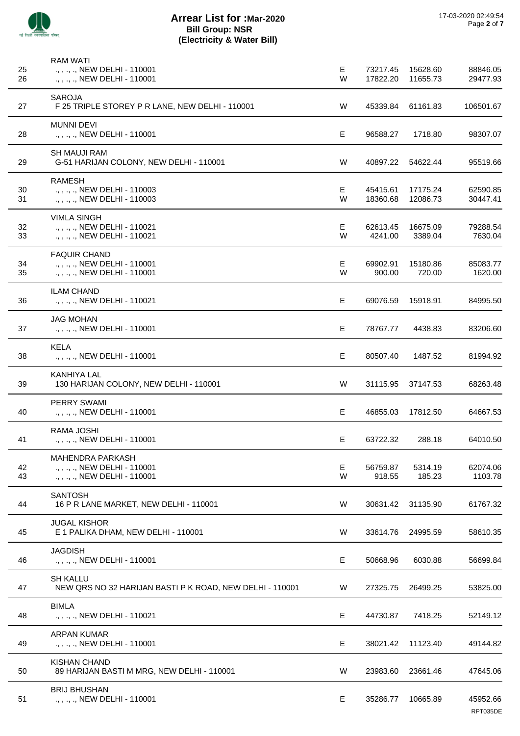

| 25       | <b>RAM WATI</b><br>., , ., ., NEW DELHI - 110001                                          | E      | 73217.45             | 15628.60             | 88846.05             |
|----------|-------------------------------------------------------------------------------------------|--------|----------------------|----------------------|----------------------|
| 26       | ., , ., ., NEW DELHI - 110001                                                             | W      | 17822.20             | 11655.73             | 29477.93             |
| 27       | SAROJA<br>F 25 TRIPLE STOREY P R LANE, NEW DELHI - 110001                                 | W      | 45339.84             | 61161.83             | 106501.67            |
| 28       | <b>MUNNI DEVI</b><br>., , ., ., NEW DELHI - 110001                                        | E      | 96588.27             | 1718.80              | 98307.07             |
| 29       | <b>SH MAUJI RAM</b><br>G-51 HARIJAN COLONY, NEW DELHI - 110001                            | W      | 40897.22             | 54622.44             | 95519.66             |
| 30<br>31 | <b>RAMESH</b><br>., , ., ., NEW DELHI - 110003<br>., , ., ., NEW DELHI - 110003           | Е<br>W | 45415.61<br>18360.68 | 17175.24<br>12086.73 | 62590.85<br>30447.41 |
| 32<br>33 | <b>VIMLA SINGH</b><br>., , ., ., NEW DELHI - 110021<br>., , ., ., NEW DELHI - 110021      | Е<br>W | 62613.45<br>4241.00  | 16675.09<br>3389.04  | 79288.54<br>7630.04  |
| 34<br>35 | <b>FAQUIR CHAND</b><br>., , ., ., NEW DELHI - 110001<br>., , ., ., NEW DELHI - 110001     | Е<br>W | 69902.91<br>900.00   | 15180.86<br>720.00   | 85083.77<br>1620.00  |
| 36       | <b>ILAM CHAND</b><br>., , ., ., NEW DELHI - 110021                                        | E      | 69076.59             | 15918.91             | 84995.50             |
| 37       | JAG MOHAN<br>., , ., ., NEW DELHI - 110001                                                | Е      | 78767.77             | 4438.83              | 83206.60             |
| 38       | <b>KELA</b><br>., , ., ., NEW DELHI - 110001                                              | E      | 80507.40             | 1487.52              | 81994.92             |
| 39       | KANHIYA LAL<br>130 HARIJAN COLONY, NEW DELHI - 110001                                     | W      | 31115.95             | 37147.53             | 68263.48             |
| 40       | <b>PERRY SWAMI</b><br>., , ., ., NEW DELHI - 110001                                       | Е      | 46855.03             | 17812.50             | 64667.53             |
| 41       | RAMA JOSHI<br>., , ., ., NEW DELHI - 110001                                               | Е      | 63722.32             | 288.18               | 64010.50             |
| 42<br>43 | <b>MAHENDRA PARKASH</b><br>., , ., ., NEW DELHI - 110001<br>., , ., ., NEW DELHI - 110001 | Е<br>W | 56759.87<br>918.55   | 5314.19<br>185.23    | 62074.06<br>1103.78  |
| 44       | <b>SANTOSH</b><br>16 P R LANE MARKET, NEW DELHI - 110001                                  | W      | 30631.42             | 31135.90             | 61767.32             |
| 45       | <b>JUGAL KISHOR</b><br>E 1 PALIKA DHAM, NEW DELHI - 110001                                | W      | 33614.76             | 24995.59             | 58610.35             |
| 46       | <b>JAGDISH</b><br>., , ., ., NEW DELHI - 110001                                           | Е      | 50668.96             | 6030.88              | 56699.84             |
| 47       | <b>SH KALLU</b><br>NEW QRS NO 32 HARIJAN BASTI P K ROAD, NEW DELHI - 110001               | W      | 27325.75             | 26499.25             | 53825.00             |
| 48       | <b>BIMLA</b><br>., , ., ., NEW DELHI - 110021                                             | Е      | 44730.87             | 7418.25              | 52149.12             |
| 49       | <b>ARPAN KUMAR</b><br>., , ., ., NEW DELHI - 110001                                       | Е      | 38021.42             | 11123.40             | 49144.82             |
| 50       | <b>KISHAN CHAND</b><br>89 HARIJAN BASTI M MRG, NEW DELHI - 110001                         | W      | 23983.60             | 23661.46             | 47645.06             |
| 51       | <b>BRIJ BHUSHAN</b><br>., , ., ., NEW DELHI - 110001                                      | Е      | 35286.77             | 10665.89             | 45952.66             |

RPT035DE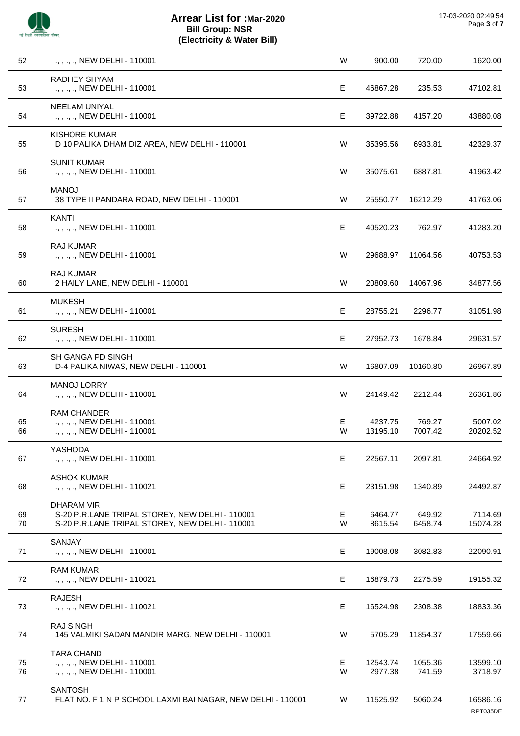

| 52       | ., , ., ., NEW DELHI - 110001                                                                                           | W      | 900.00              | 720.00            | 1620.00              |
|----------|-------------------------------------------------------------------------------------------------------------------------|--------|---------------------|-------------------|----------------------|
| 53       | <b>RADHEY SHYAM</b><br>., , ., ., NEW DELHI - 110001                                                                    | Е      | 46867.28            | 235.53            | 47102.81             |
| 54       | <b>NEELAM UNIYAL</b><br>., , ., ., NEW DELHI - 110001                                                                   | Е      | 39722.88            | 4157.20           | 43880.08             |
| 55       | <b>KISHORE KUMAR</b><br>D 10 PALIKA DHAM DIZ AREA, NEW DELHI - 110001                                                   | W      | 35395.56            | 6933.81           | 42329.37             |
| 56       | <b>SUNIT KUMAR</b><br>., , ., ., NEW DELHI - 110001                                                                     | W      | 35075.61            | 6887.81           | 41963.42             |
| 57       | <b>MANOJ</b><br>38 TYPE II PANDARA ROAD, NEW DELHI - 110001                                                             | W      | 25550.77            | 16212.29          | 41763.06             |
| 58       | <b>KANTI</b><br>., , ., ., NEW DELHI - 110001                                                                           | Е      | 40520.23            | 762.97            | 41283.20             |
| 59       | RAJ KUMAR<br>., , ., ., NEW DELHI - 110001                                                                              | W      | 29688.97            | 11064.56          | 40753.53             |
| 60       | <b>RAJ KUMAR</b><br>2 HAILY LANE, NEW DELHI - 110001                                                                    | W      | 20809.60            | 14067.96          | 34877.56             |
| 61       | <b>MUKESH</b><br>., , ., ., NEW DELHI - 110001                                                                          | Е      | 28755.21            | 2296.77           | 31051.98             |
| 62       | <b>SURESH</b><br>., , ., ., NEW DELHI - 110001                                                                          | Е      | 27952.73            | 1678.84           | 29631.57             |
| 63       | <b>SH GANGA PD SINGH</b><br>D-4 PALIKA NIWAS, NEW DELHI - 110001                                                        | W      | 16807.09            | 10160.80          | 26967.89             |
| 64       | <b>MANOJ LORRY</b><br>., , ., ., NEW DELHI - 110001                                                                     | W      | 24149.42            | 2212.44           | 26361.86             |
| 65<br>66 | <b>RAM CHANDER</b><br>., , ., ., NEW DELHI - 110001<br>., , ., ., NEW DELHI - 110001                                    | Е<br>W | 4237.75<br>13195.10 | 769.27<br>7007.42 | 5007.02<br>20202.52  |
| 67       | YASHODA<br>., , ., ., NEW DELHI - 110001                                                                                | Е      | 22567.11            | 2097.81           | 24664.92             |
| 68       | <b>ASHOK KUMAR</b><br>., , ., ., NEW DELHI - 110021                                                                     | E      | 23151.98            | 1340.89           | 24492.87             |
| 69<br>70 | <b>DHARAM VIR</b><br>S-20 P.R.LANE TRIPAL STOREY, NEW DELHI - 110001<br>S-20 P.R.LANE TRIPAL STOREY, NEW DELHI - 110001 | Е<br>W | 6464.77<br>8615.54  | 649.92<br>6458.74 | 7114.69<br>15074.28  |
| 71       | SANJAY<br>., , ., ., NEW DELHI - 110001                                                                                 | Е      | 19008.08            | 3082.83           | 22090.91             |
| 72       | <b>RAM KUMAR</b><br>., , ., ., NEW DELHI - 110021                                                                       | E      | 16879.73            | 2275.59           | 19155.32             |
| 73       | <b>RAJESH</b><br>., , ., ., NEW DELHI - 110021                                                                          | E      | 16524.98            | 2308.38           | 18833.36             |
| 74       | <b>RAJ SINGH</b><br>145 VALMIKI SADAN MANDIR MARG, NEW DELHI - 110001                                                   | W      | 5705.29             | 11854.37          | 17559.66             |
| 75<br>76 | <b>TARA CHAND</b><br>., , ., ., NEW DELHI - 110001<br>., , ., ., NEW DELHI - 110001                                     | E<br>W | 12543.74<br>2977.38 | 1055.36<br>741.59 | 13599.10<br>3718.97  |
| 77       | <b>SANTOSH</b><br>FLAT NO. F 1 N P SCHOOL LAXMI BAI NAGAR, NEW DELHI - 110001                                           | W      | 11525.92            | 5060.24           | 16586.16<br>RPT035DE |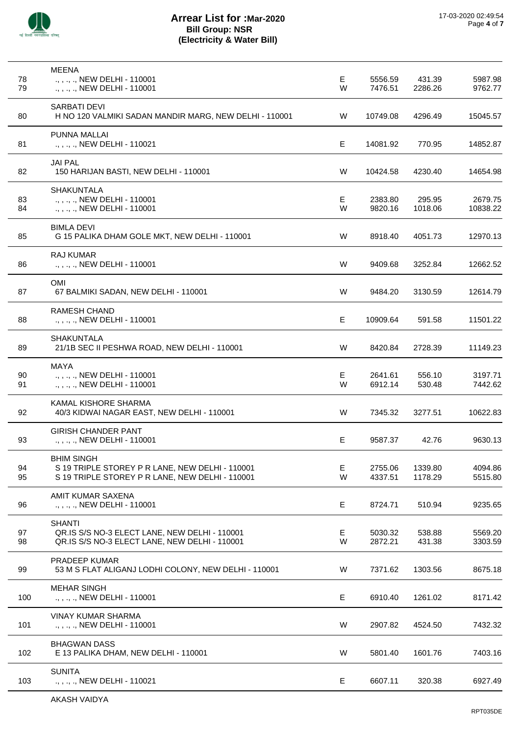

| 78       | <b>MEENA</b><br>., , ., ., NEW DELHI - 110001                                                                           | Е      | 5556.59            | 431.39             | 5987.98             |
|----------|-------------------------------------------------------------------------------------------------------------------------|--------|--------------------|--------------------|---------------------|
| 79       | ., , ., ., NEW DELHI - 110001<br>SARBATI DEVI                                                                           | W      | 7476.51            | 2286.26            | 9762.77             |
| 80       | H NO 120 VALMIKI SADAN MANDIR MARG, NEW DELHI - 110001                                                                  | W      | 10749.08           | 4296.49            | 15045.57            |
| 81       | PUNNA MALLAI<br>., , ., ., NEW DELHI - 110021                                                                           | E.     | 14081.92           | 770.95             | 14852.87            |
| 82       | <b>JAI PAL</b><br>150 HARIJAN BASTI, NEW DELHI - 110001                                                                 | W      | 10424.58           | 4230.40            | 14654.98            |
| 83<br>84 | <b>SHAKUNTALA</b><br>., , ., ., NEW DELHI - 110001<br>., , ., ., NEW DELHI - 110001                                     | Ε<br>W | 2383.80<br>9820.16 | 295.95<br>1018.06  | 2679.75<br>10838.22 |
| 85       | <b>BIMLA DEVI</b><br>G 15 PALIKA DHAM GOLE MKT, NEW DELHI - 110001                                                      | W      | 8918.40            | 4051.73            | 12970.13            |
| 86       | <b>RAJ KUMAR</b><br>., , ., ., NEW DELHI - 110001                                                                       | W      | 9409.68            | 3252.84            | 12662.52            |
| 87       | OMI<br>67 BALMIKI SADAN, NEW DELHI - 110001                                                                             | W      | 9484.20            | 3130.59            | 12614.79            |
| 88       | <b>RAMESH CHAND</b><br>., , ., ., NEW DELHI - 110001                                                                    | Е      | 10909.64           | 591.58             | 11501.22            |
| 89       | <b>SHAKUNTALA</b><br>21/1B SEC II PESHWA ROAD, NEW DELHI - 110001                                                       | W      | 8420.84            | 2728.39            | 11149.23            |
| 90<br>91 | <b>MAYA</b><br>., , ., ., NEW DELHI - 110001<br>., , ., ., NEW DELHI - 110001                                           | Ε<br>W | 2641.61<br>6912.14 | 556.10<br>530.48   | 3197.71<br>7442.62  |
| 92       | KAMAL KISHORE SHARMA<br>40/3 KIDWAI NAGAR EAST, NEW DELHI - 110001                                                      | W      | 7345.32            | 3277.51            | 10622.83            |
| 93       | GIRISH CHANDER PANT<br>., , ., ., NEW DELHI - 110001                                                                    | Е      | 9587.37            | 42.76              | 9630.13             |
| 94<br>95 | <b>BHIM SINGH</b><br>S 19 TRIPLE STOREY P R LANE, NEW DELHI - 110001<br>S 19 TRIPLE STOREY P R LANE, NEW DELHI - 110001 | Е<br>W | 2755.06<br>4337.51 | 1339.80<br>1178.29 | 4094.86<br>5515.80  |
| 96       | AMIT KUMAR SAXENA<br>., , ., ., NEW DELHI - 110001                                                                      | Е      | 8724.71            | 510.94             | 9235.65             |
| 97<br>98 | <b>SHANTI</b><br>QR.IS S/S NO-3 ELECT LANE, NEW DELHI - 110001<br>QR.IS S/S NO-3 ELECT LANE, NEW DELHI - 110001         | Е<br>W | 5030.32<br>2872.21 | 538.88<br>431.38   | 5569.20<br>3303.59  |
| 99       | <b>PRADEEP KUMAR</b><br>53 M S FLAT ALIGANJ LODHI COLONY, NEW DELHI - 110001                                            | W      | 7371.62            | 1303.56            | 8675.18             |
| 100      | <b>MEHAR SINGH</b><br>., , ., ., NEW DELHI - 110001                                                                     | E      | 6910.40            | 1261.02            | 8171.42             |
| 101      | <b>VINAY KUMAR SHARMA</b><br>., , ., ., NEW DELHI - 110001                                                              | W      | 2907.82            | 4524.50            | 7432.32             |
| 102      | <b>BHAGWAN DASS</b><br>E 13 PALIKA DHAM, NEW DELHI - 110001                                                             | W      | 5801.40            | 1601.76            | 7403.16             |
| 103      | <b>SUNITA</b><br>., , ., ., NEW DELHI - 110021                                                                          | Е      | 6607.11            | 320.38             | 6927.49             |
|          |                                                                                                                         |        |                    |                    |                     |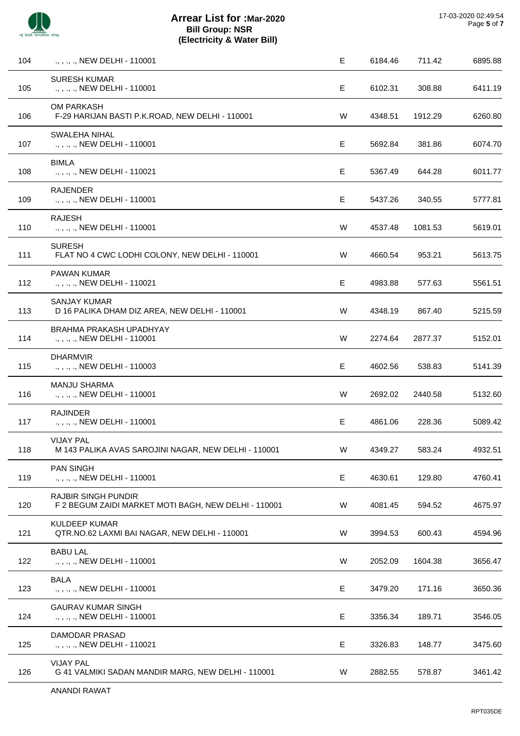

| 104 | ., , ., ., NEW DELHI - 110001                                                      | Е | 6184.46 | 711.42  | 6895.88 |
|-----|------------------------------------------------------------------------------------|---|---------|---------|---------|
| 105 | <b>SURESH KUMAR</b><br>., , ., ., NEW DELHI - 110001                               | E | 6102.31 | 308.88  | 6411.19 |
| 106 | <b>OM PARKASH</b><br>F-29 HARIJAN BASTI P.K.ROAD, NEW DELHI - 110001               | W | 4348.51 | 1912.29 | 6260.80 |
| 107 | SWALEHA NIHAL<br>., , ., ., NEW DELHI - 110001                                     | Е | 5692.84 | 381.86  | 6074.70 |
| 108 | <b>BIMLA</b><br>., , ., ., NEW DELHI - 110021                                      | Е | 5367.49 | 644.28  | 6011.77 |
| 109 | <b>RAJENDER</b><br>., , ., ., NEW DELHI - 110001                                   | Е | 5437.26 | 340.55  | 5777.81 |
| 110 | <b>RAJESH</b><br>., , ., ., NEW DELHI - 110001                                     | W | 4537.48 | 1081.53 | 5619.01 |
| 111 | <b>SURESH</b><br>FLAT NO 4 CWC LODHI COLONY, NEW DELHI - 110001                    | W | 4660.54 | 953.21  | 5613.75 |
| 112 | <b>PAWAN KUMAR</b><br>., , ., ., NEW DELHI - 110021                                | Е | 4983.88 | 577.63  | 5561.51 |
| 113 | <b>SANJAY KUMAR</b><br>D 16 PALIKA DHAM DIZ AREA, NEW DELHI - 110001               | W | 4348.19 | 867.40  | 5215.59 |
| 114 | BRAHMA PRAKASH UPADHYAY<br>., , ., ., NEW DELHI - 110001                           | W | 2274.64 | 2877.37 | 5152.01 |
| 115 | <b>DHARMVIR</b><br>., , ., ., NEW DELHI - 110003                                   | Е | 4602.56 | 538.83  | 5141.39 |
| 116 | MANJU SHARMA<br>., , ., ., NEW DELHI - 110001                                      | W | 2692.02 | 2440.58 | 5132.60 |
| 117 | <b>RAJINDER</b><br>., , ., ., NEW DELHI - 110001                                   | Е | 4861.06 | 228.36  | 5089.42 |
| 118 | <b>VIJAY PAL</b><br>M 143 PALIKA AVAS SAROJINI NAGAR, NEW DELHI - 110001           | W | 4349.27 | 583.24  | 4932.51 |
| 119 | <b>PAN SINGH</b><br>., , ., ., NEW DELHI - 110001                                  | E | 4630.61 | 129.80  | 4760.41 |
| 120 | <b>RAJBIR SINGH PUNDIR</b><br>F 2 BEGUM ZAIDI MARKET MOTI BAGH, NEW DELHI - 110001 | W | 4081.45 | 594.52  | 4675.97 |
| 121 | <b>KULDEEP KUMAR</b><br>QTR.NO.62 LAXMI BAI NAGAR, NEW DELHI - 110001              | W | 3994.53 | 600.43  | 4594.96 |
| 122 | <b>BABU LAL</b><br>., , ., ., NEW DELHI - 110001                                   | W | 2052.09 | 1604.38 | 3656.47 |
| 123 | <b>BALA</b><br>., , ., ., NEW DELHI - 110001                                       | E | 3479.20 | 171.16  | 3650.36 |
| 124 | <b>GAURAV KUMAR SINGH</b><br>., , ., ., NEW DELHI - 110001                         | Е | 3356.34 | 189.71  | 3546.05 |
| 125 | DAMODAR PRASAD<br>., , ., ., NEW DELHI - 110021                                    | E | 3326.83 | 148.77  | 3475.60 |
| 126 | <b>VIJAY PAL</b><br>G 41 VALMIKI SADAN MANDIR MARG, NEW DELHI - 110001             | W | 2882.55 | 578.87  | 3461.42 |
|     | ANANDI RAWAT                                                                       |   |         |         |         |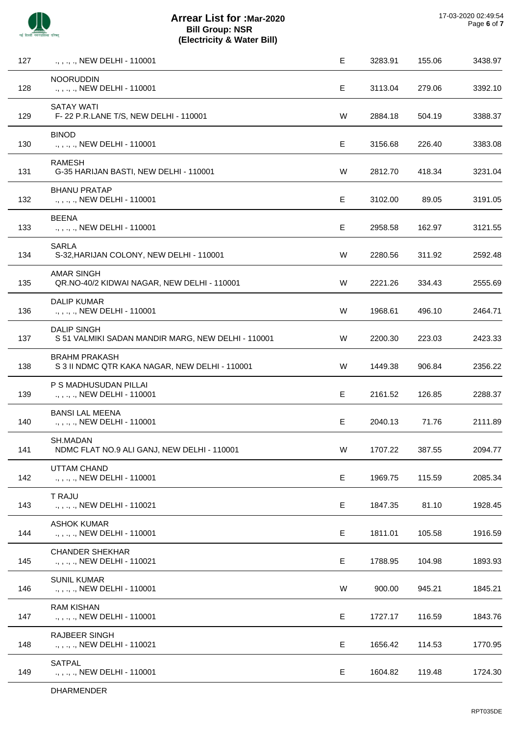

| 127 | ., ., ., NEW DELHI - 110001                                              | Е | 3283.91 | 155.06 | 3438.97 |
|-----|--------------------------------------------------------------------------|---|---------|--------|---------|
| 128 | <b>NOORUDDIN</b><br>., , ., ., NEW DELHI - 110001                        | E | 3113.04 | 279.06 | 3392.10 |
| 129 | <b>SATAY WATI</b><br>F-22 P.R.LANE T/S, NEW DELHI - 110001               | W | 2884.18 | 504.19 | 3388.37 |
| 130 | <b>BINOD</b><br>., , ., ., NEW DELHI - 110001                            | Е | 3156.68 | 226.40 | 3383.08 |
| 131 | <b>RAMESH</b><br>G-35 HARIJAN BASTI, NEW DELHI - 110001                  | W | 2812.70 | 418.34 | 3231.04 |
| 132 | <b>BHANU PRATAP</b><br>., , ., ., NEW DELHI - 110001                     | Е | 3102.00 | 89.05  | 3191.05 |
| 133 | <b>BEENA</b><br>., , ., ., NEW DELHI - 110001                            | Е | 2958.58 | 162.97 | 3121.55 |
| 134 | <b>SARLA</b><br>S-32, HARIJAN COLONY, NEW DELHI - 110001                 | W | 2280.56 | 311.92 | 2592.48 |
| 135 | <b>AMAR SINGH</b><br>QR.NO-40/2 KIDWAI NAGAR, NEW DELHI - 110001         | W | 2221.26 | 334.43 | 2555.69 |
| 136 | <b>DALIP KUMAR</b><br>., , ., ., NEW DELHI - 110001                      | W | 1968.61 | 496.10 | 2464.71 |
| 137 | <b>DALIP SINGH</b><br>S 51 VALMIKI SADAN MANDIR MARG, NEW DELHI - 110001 | W | 2200.30 | 223.03 | 2423.33 |
| 138 | <b>BRAHM PRAKASH</b><br>S 3 II NDMC QTR KAKA NAGAR, NEW DELHI - 110001   | W | 1449.38 | 906.84 | 2356.22 |
| 139 | P S MADHUSUDAN PILLAI<br>., , ., ., NEW DELHI - 110001                   | Е | 2161.52 | 126.85 | 2288.37 |
| 140 | <b>BANSI LAL MEENA</b><br>., , ., ., NEW DELHI - 110001                  | Е | 2040.13 | 71.76  | 2111.89 |
| 141 | SH.MADAN<br>NDMC FLAT NO.9 ALI GANJ, NEW DELHI - 110001                  | W | 1707.22 | 387.55 | 2094.77 |
| 142 | UTTAM CHAND<br>., , ., ., NEW DELHI - 110001                             | Е | 1969.75 | 115.59 | 2085.34 |
| 143 | T RAJU<br>., , ., ., NEW DELHI - 110021                                  | Е | 1847.35 | 81.10  | 1928.45 |
| 144 | <b>ASHOK KUMAR</b><br>., , ., ., NEW DELHI - 110001                      | Е | 1811.01 | 105.58 | 1916.59 |
| 145 | <b>CHANDER SHEKHAR</b><br>., , ., ., NEW DELHI - 110021                  | Е | 1788.95 | 104.98 | 1893.93 |
| 146 | <b>SUNIL KUMAR</b><br>., , ., ., NEW DELHI - 110001                      | W | 900.00  | 945.21 | 1845.21 |
| 147 | <b>RAM KISHAN</b><br>., , ., ., NEW DELHI - 110001                       | Е | 1727.17 | 116.59 | 1843.76 |
| 148 | <b>RAJBEER SINGH</b><br>., , ., ., NEW DELHI - 110021                    | Е | 1656.42 | 114.53 | 1770.95 |
| 149 | <b>SATPAL</b><br>., , ., ., NEW DELHI - 110001                           | Е | 1604.82 | 119.48 | 1724.30 |
|     | DHARMENDER                                                               |   |         |        |         |